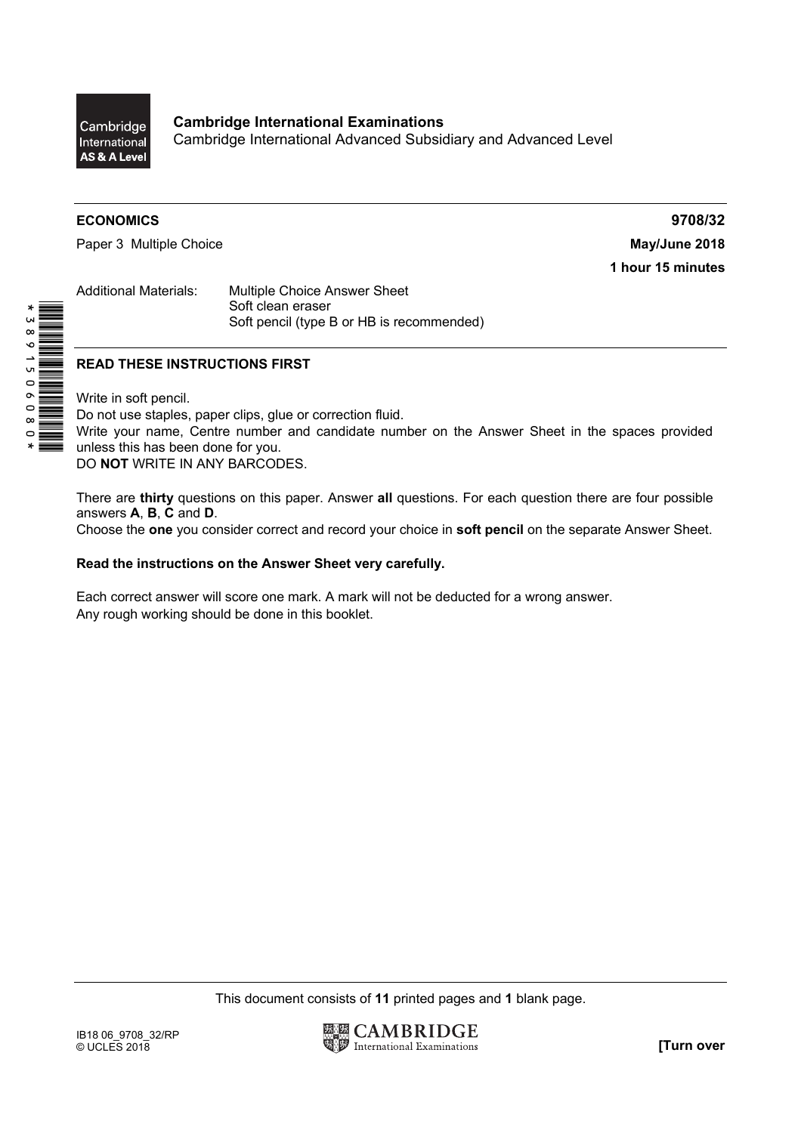

**Cambridge International Examinations**  Cambridge International Advanced Subsidiary and Advanced Level

## **ECONOMICS 9708/32**

Paper 3 Multiple Choice **May/June 2018** 

**1 hour 15 minutes** 

Additional Materials: Multiple Choice Answer Sheet Soft clean eraser Soft pencil (type B or HB is recommended)

## **READ THESE INSTRUCTIONS FIRST**

Write in soft pencil.

\*3891506080\*

Do not use staples, paper clips, glue or correction fluid. Write your name, Centre number and candidate number on the Answer Sheet in the spaces provided unless this has been done for you. DO **NOT** WRITE IN ANY BARCODES.

There are **thirty** questions on this paper. Answer **all** questions. For each question there are four possible answers **A**, **B**, **C** and **D**.

Choose the **one** you consider correct and record your choice in **soft pencil** on the separate Answer Sheet.

## **Read the instructions on the Answer Sheet very carefully.**

Each correct answer will score one mark. A mark will not be deducted for a wrong answer. Any rough working should be done in this booklet.

This document consists of **11** printed pages and **1** blank page.

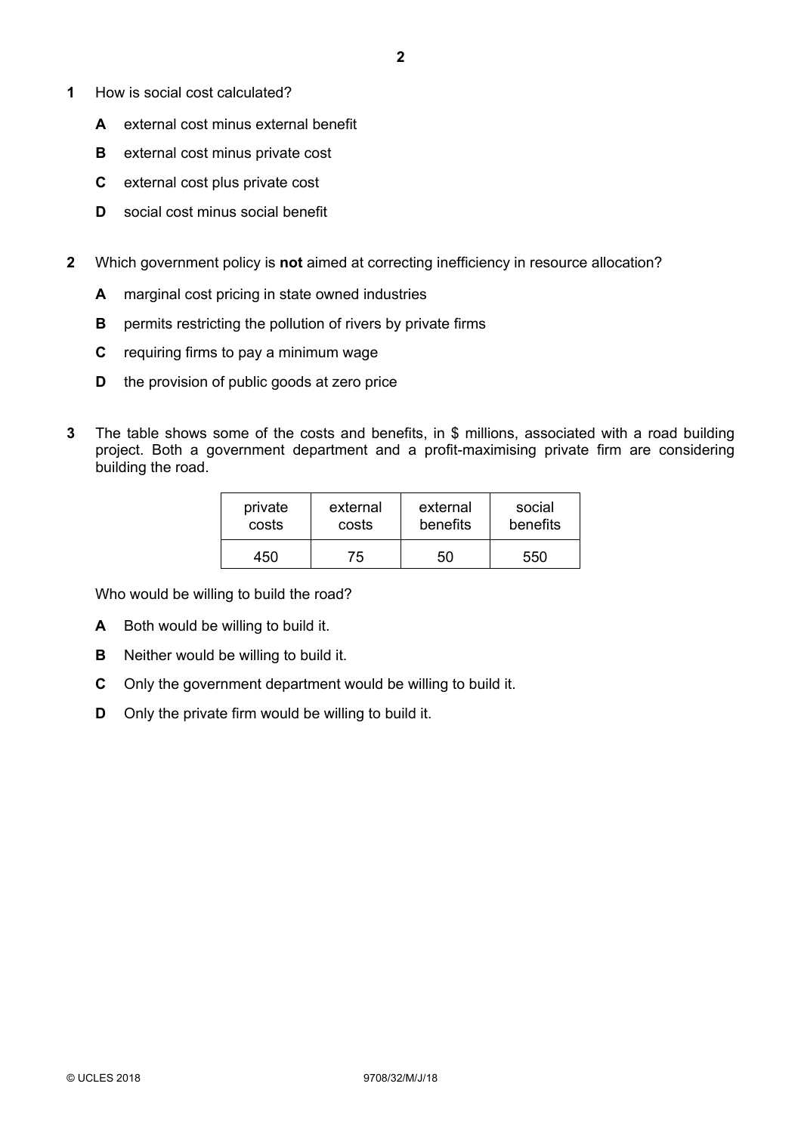- **1** How is social cost calculated?
	- **A** external cost minus external benefit
	- **B** external cost minus private cost
	- **C** external cost plus private cost
	- **D** social cost minus social benefit
- **2** Which government policy is **not** aimed at correcting inefficiency in resource allocation?
	- **A** marginal cost pricing in state owned industries
	- **B** permits restricting the pollution of rivers by private firms
	- **C** requiring firms to pay a minimum wage
	- **D** the provision of public goods at zero price
- **3** The table shows some of the costs and benefits, in \$ millions, associated with a road building project. Both a government department and a profit-maximising private firm are considering building the road.

| private | external | external | social   |  |
|---------|----------|----------|----------|--|
| costs   | costs    | benefits | benefits |  |
| 450     | 75       | 50       | 550      |  |

Who would be willing to build the road?

- **A** Both would be willing to build it.
- **B** Neither would be willing to build it.
- **C** Only the government department would be willing to build it.
- **D** Only the private firm would be willing to build it.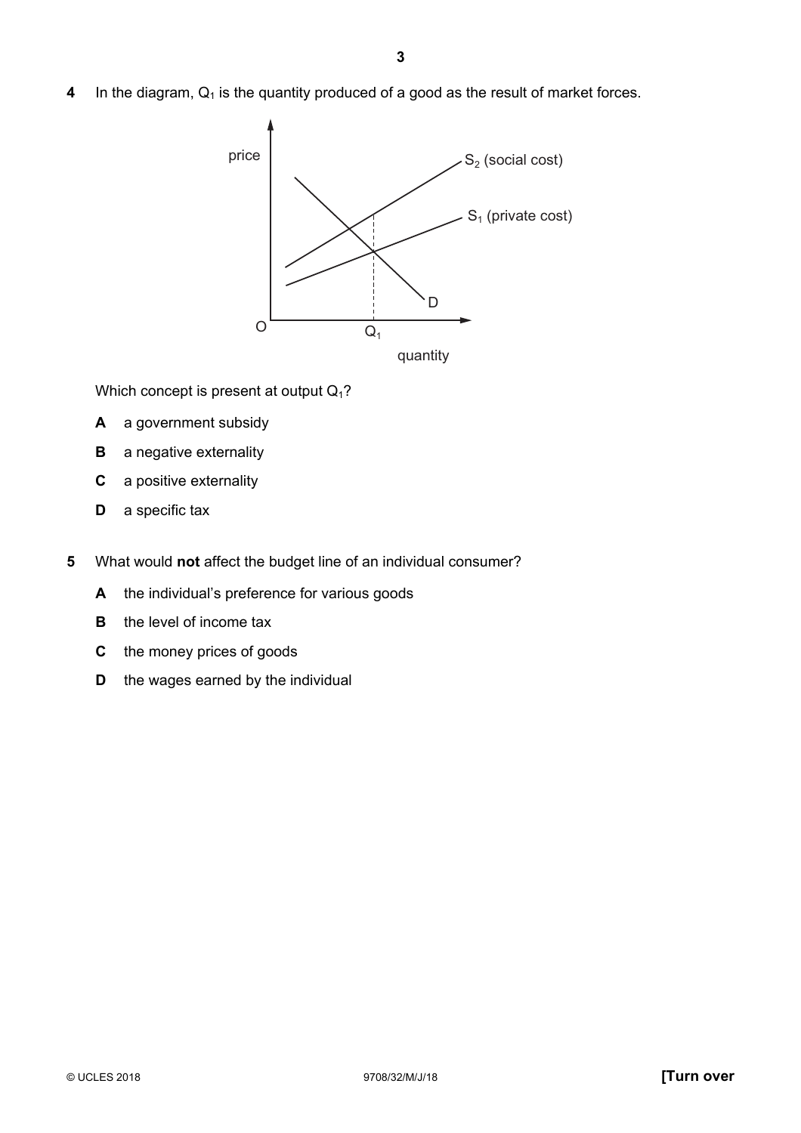**4** In the diagram, Q<sub>1</sub> is the quantity produced of a good as the result of market forces.



Which concept is present at output  $Q_1$ ?

- **A** a government subsidy
- **B** a negative externality
- **C** a positive externality
- **D** a specific tax
- **5** What would **not** affect the budget line of an individual consumer?
	- A the individual's preference for various goods
	- **B** the level of income tax
	- **C** the money prices of goods
	- **D** the wages earned by the individual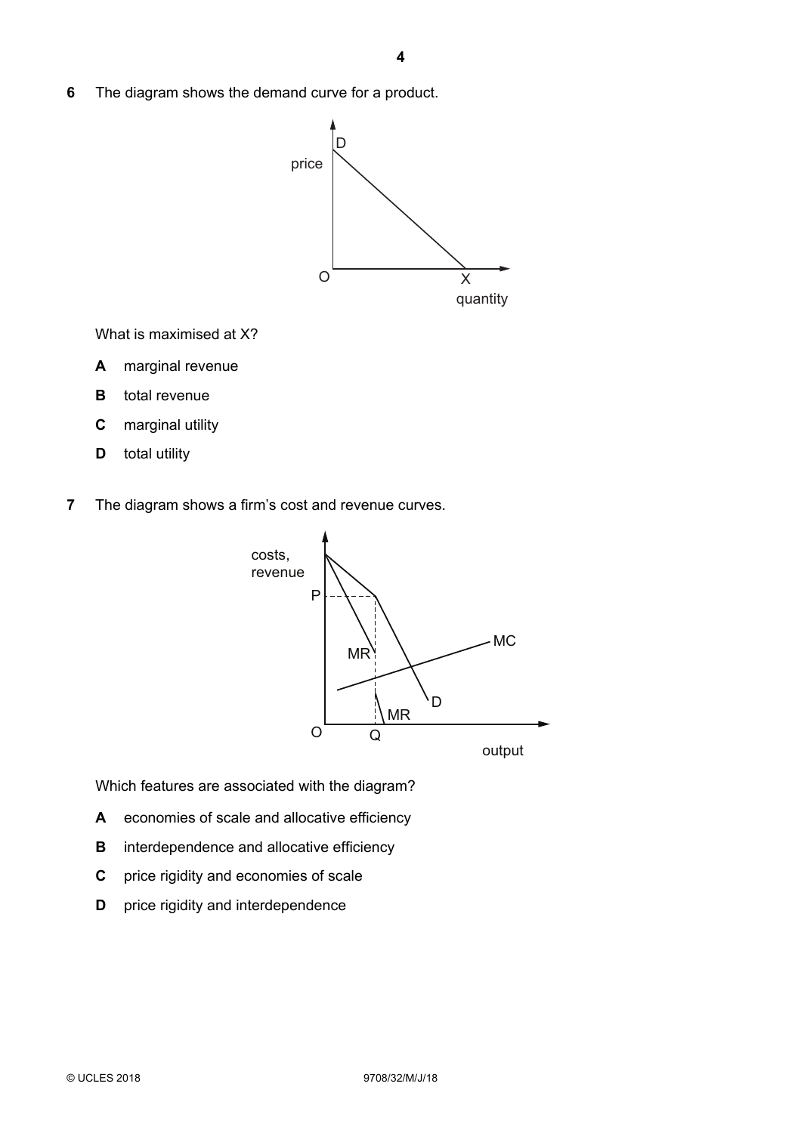**6** The diagram shows the demand curve for a product.



What is maximised at X?

- **A** marginal revenue
- **B** total revenue
- **C** marginal utility
- **D** total utility
- **7** The diagram shows a firm's cost and revenue curves.



Which features are associated with the diagram?

- **A** economies of scale and allocative efficiency
- **B** interdependence and allocative efficiency
- **C** price rigidity and economies of scale
- **D** price rigidity and interdependence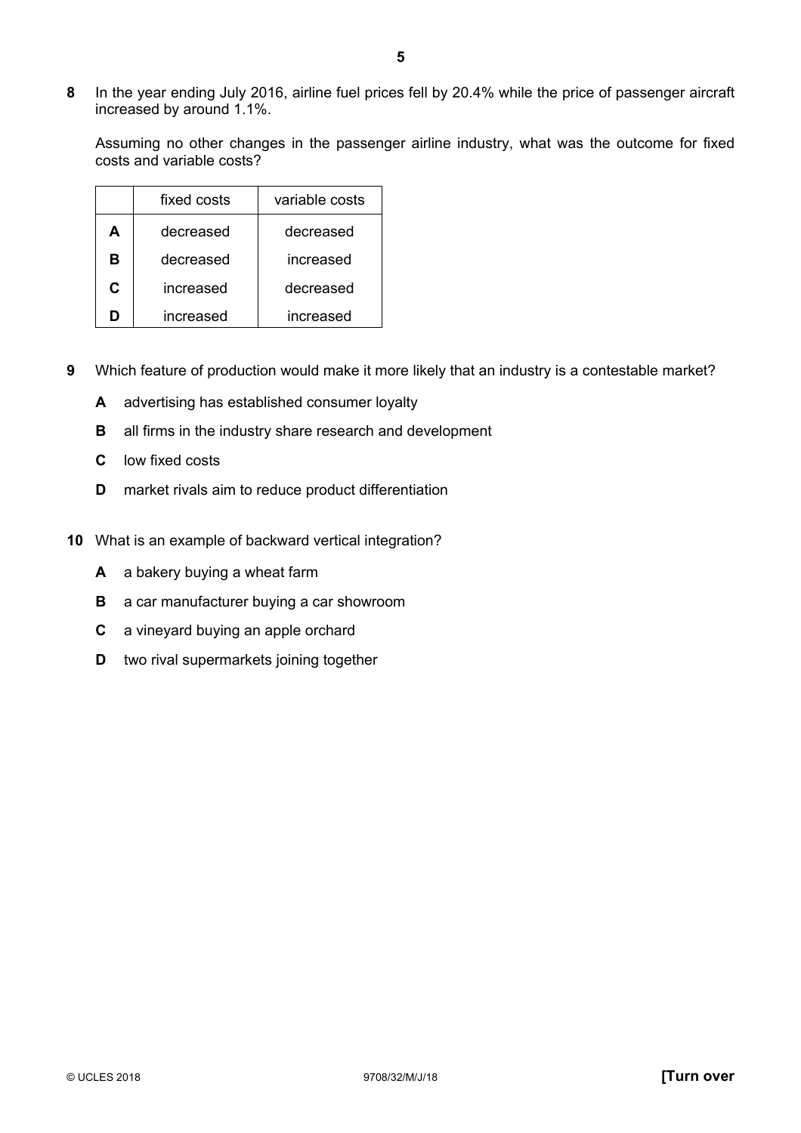**8** In the year ending July 2016, airline fuel prices fell by 20.4% while the price of passenger aircraft increased by around 1.1%.

Assuming no other changes in the passenger airline industry, what was the outcome for fixed costs and variable costs?

|   | fixed costs | variable costs |
|---|-------------|----------------|
| A | decreased   | decreased      |
| в | decreased   | increased      |
| C | increased   | decreased      |
|   | increased   | increased      |

- **9** Which feature of production would make it more likely that an industry is a contestable market?
	- **A** advertising has established consumer loyalty
	- **B** all firms in the industry share research and development
	- **C** low fixed costs
	- **D** market rivals aim to reduce product differentiation
- **10** What is an example of backward vertical integration?
	- **A** a bakery buying a wheat farm
	- **B** a car manufacturer buying a car showroom
	- **C** a vineyard buying an apple orchard
	- **D** two rival supermarkets joining together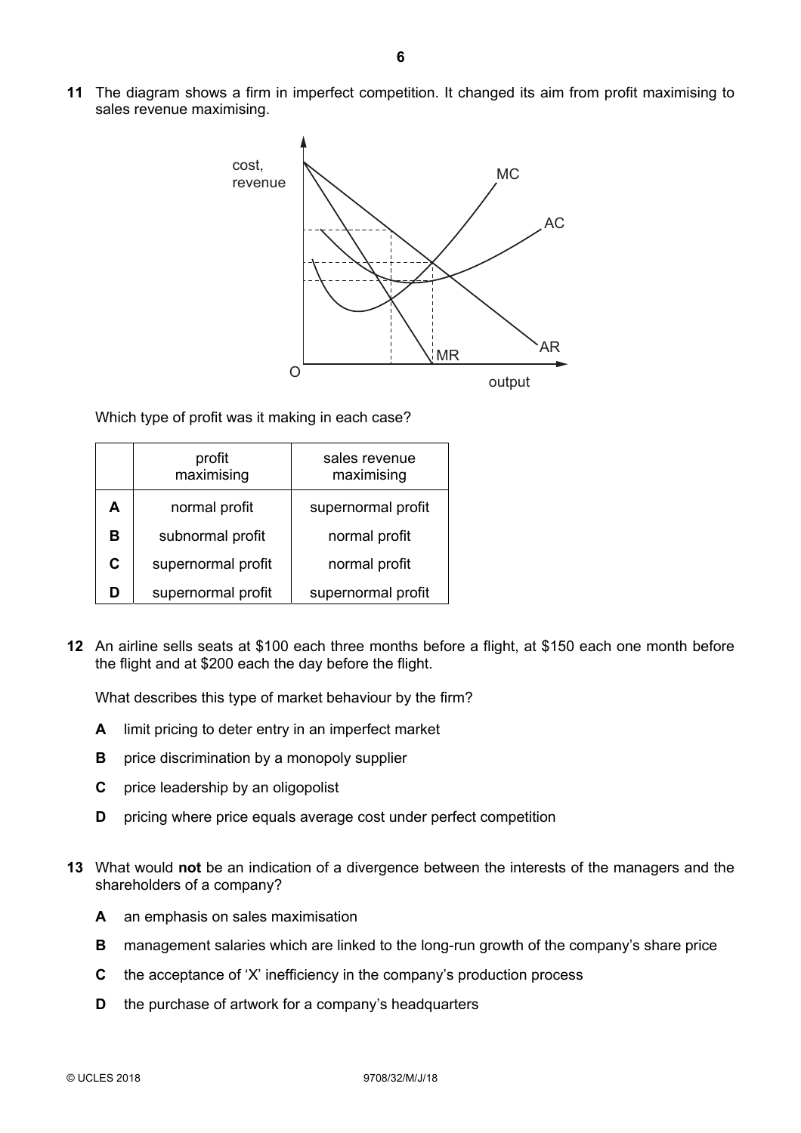**11** The diagram shows a firm in imperfect competition. It changed its aim from profit maximising to sales revenue maximising.



Which type of profit was it making in each case?

|   | profit<br>maximising | sales revenue<br>maximising |
|---|----------------------|-----------------------------|
| А | normal profit        | supernormal profit          |
| в | subnormal profit     | normal profit               |
| C | supernormal profit   | normal profit               |
| D | supernormal profit   | supernormal profit          |

**12** An airline sells seats at \$100 each three months before a flight, at \$150 each one month before the flight and at \$200 each the day before the flight.

What describes this type of market behaviour by the firm?

- **A** limit pricing to deter entry in an imperfect market
- **B** price discrimination by a monopoly supplier
- **C** price leadership by an oligopolist
- **D** pricing where price equals average cost under perfect competition
- **13** What would **not** be an indication of a divergence between the interests of the managers and the shareholders of a company?
	- **A** an emphasis on sales maximisation
	- **B** management salaries which are linked to the long-run growth of the company's share price
	- **C** the acceptance of 'X' inefficiency in the company's production process
	- **D** the purchase of artwork for a company's headquarters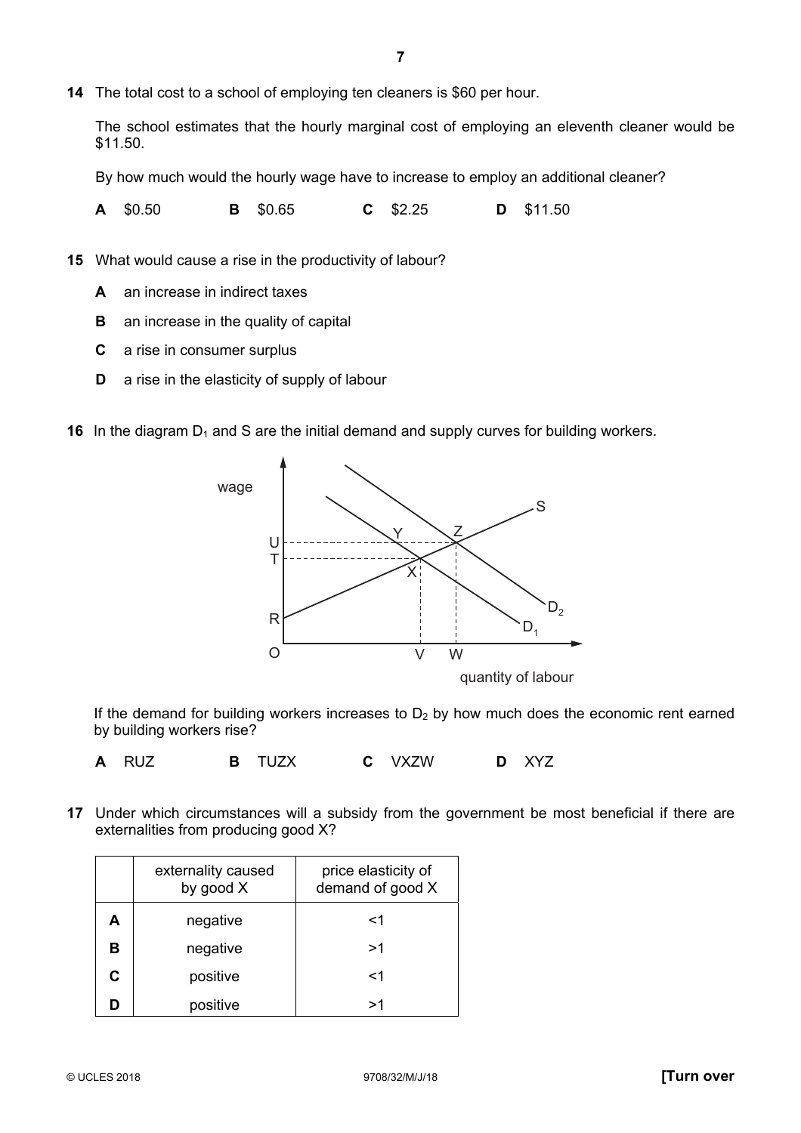The school estimates that the hourly marginal cost of employing an eleventh cleaner would be \$11.50.

By how much would the hourly wage have to increase to employ an additional cleaner?

**A** \$0.50 **B** \$0.65 **C** \$2.25 **D** \$11.50

**15** What would cause a rise in the productivity of labour?

- **A** an increase in indirect taxes
- **B** an increase in the quality of capital
- **C** a rise in consumer surplus
- **D** a rise in the elasticity of supply of labour

**16** In the diagram  $D_1$  and S are the initial demand and supply curves for building workers.



quantity of labour

If the demand for building workers increases to  $D_2$  by how much does the economic rent earned by building workers rise?

**A** RUZ **B** TUZX **C** VXZW **D** XYZ

**17** Under which circumstances will a subsidy from the government be most beneficial if there are externalities from producing good X?

|   | externality caused<br>by good X | price elasticity of<br>demand of good X |  |  |
|---|---------------------------------|-----------------------------------------|--|--|
| А | negative                        | <1                                      |  |  |
| в | negative                        | >1                                      |  |  |
| C | positive                        | <1                                      |  |  |
|   | positive                        | >1                                      |  |  |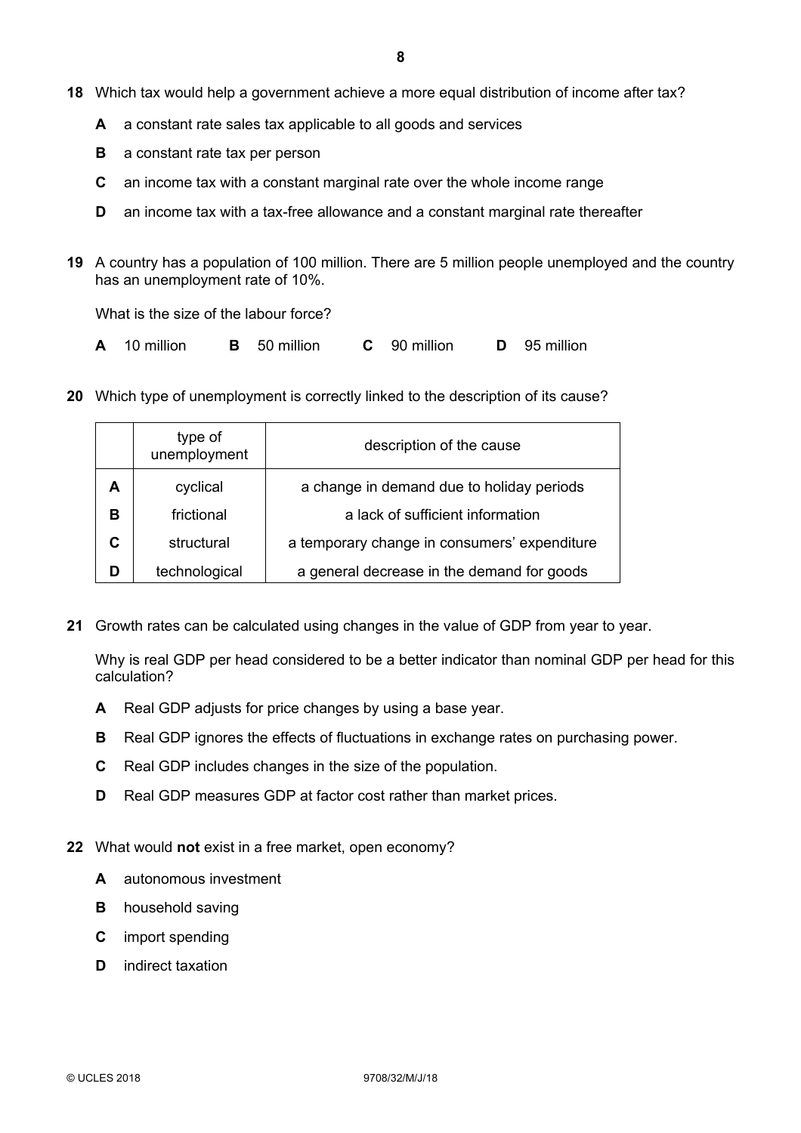- **18** Which tax would help a government achieve a more equal distribution of income after tax?
	- **A** a constant rate sales tax applicable to all goods and services
	- **B** a constant rate tax per person
	- **C** an income tax with a constant marginal rate over the whole income range
	- **D** an income tax with a tax-free allowance and a constant marginal rate thereafter
- **19** A country has a population of 100 million. There are 5 million people unemployed and the country has an unemployment rate of 10%.

What is the size of the labour force?

- **A** 10 million **B** 50 million **C** 90 million **D** 95 million
- **20** Which type of unemployment is correctly linked to the description of its cause?

|   | type of<br>unemployment | description of the cause                     |  |  |
|---|-------------------------|----------------------------------------------|--|--|
| А | cyclical                | a change in demand due to holiday periods    |  |  |
| в | frictional              | a lack of sufficient information             |  |  |
| C | structural              | a temporary change in consumers' expenditure |  |  |
| D | technological           | a general decrease in the demand for goods   |  |  |

**21** Growth rates can be calculated using changes in the value of GDP from year to year.

Why is real GDP per head considered to be a better indicator than nominal GDP per head for this calculation?

- **A** Real GDP adjusts for price changes by using a base year.
- **B** Real GDP ignores the effects of fluctuations in exchange rates on purchasing power.
- **C** Real GDP includes changes in the size of the population.
- **D** Real GDP measures GDP at factor cost rather than market prices.
- **22** What would **not** exist in a free market, open economy?
	- **A** autonomous investment
	- **B** household saving
	- **C** import spending
	- **D** indirect taxation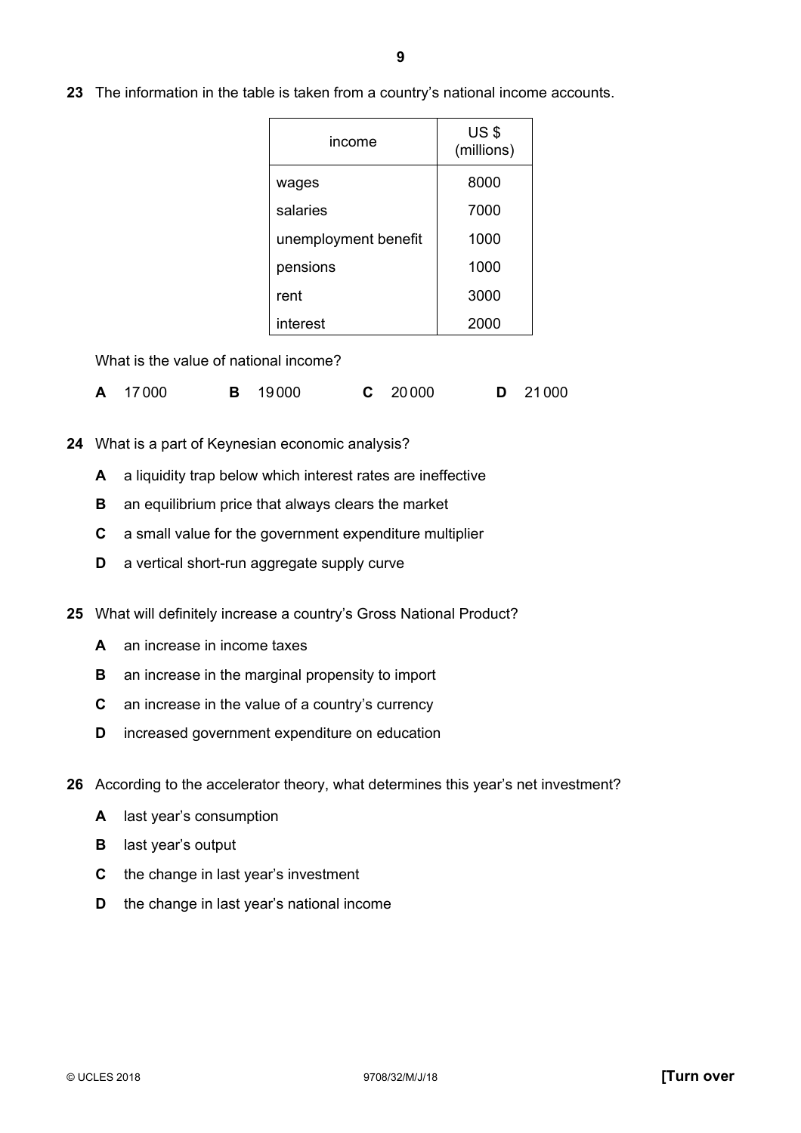**23** The information in the table is taken from a country's national income accounts.

| income               | <b>US \$</b><br>(millions) |
|----------------------|----------------------------|
| wages                | 8000                       |
| salaries             | 7000                       |
| unemployment benefit | 1000                       |
| pensions             | 1000                       |
| rent                 | 3000                       |
| interest             | 2000                       |

What is the value of national income?

|  | A 17000 |  | <b>B</b> 19000 |  | $C$ 20000 |  | <b>D</b> 21000 |
|--|---------|--|----------------|--|-----------|--|----------------|
|--|---------|--|----------------|--|-----------|--|----------------|

- **24** What is a part of Keynesian economic analysis?
	- **A** a liquidity trap below which interest rates are ineffective
	- **B** an equilibrium price that always clears the market
	- **C** a small value for the government expenditure multiplier
	- **D** a vertical short-run aggregate supply curve
- **25** What will definitely increase a country's Gross National Product?
	- **A** an increase in income taxes
	- **B** an increase in the marginal propensity to import
	- **C** an increase in the value of a country's currency
	- **D** increased government expenditure on education
- **26** According to the accelerator theory, what determines this year's net investment?
	- **A** last year's consumption
	- **B** last year's output
	- **C** the change in last year's investment
	- **D** the change in last year's national income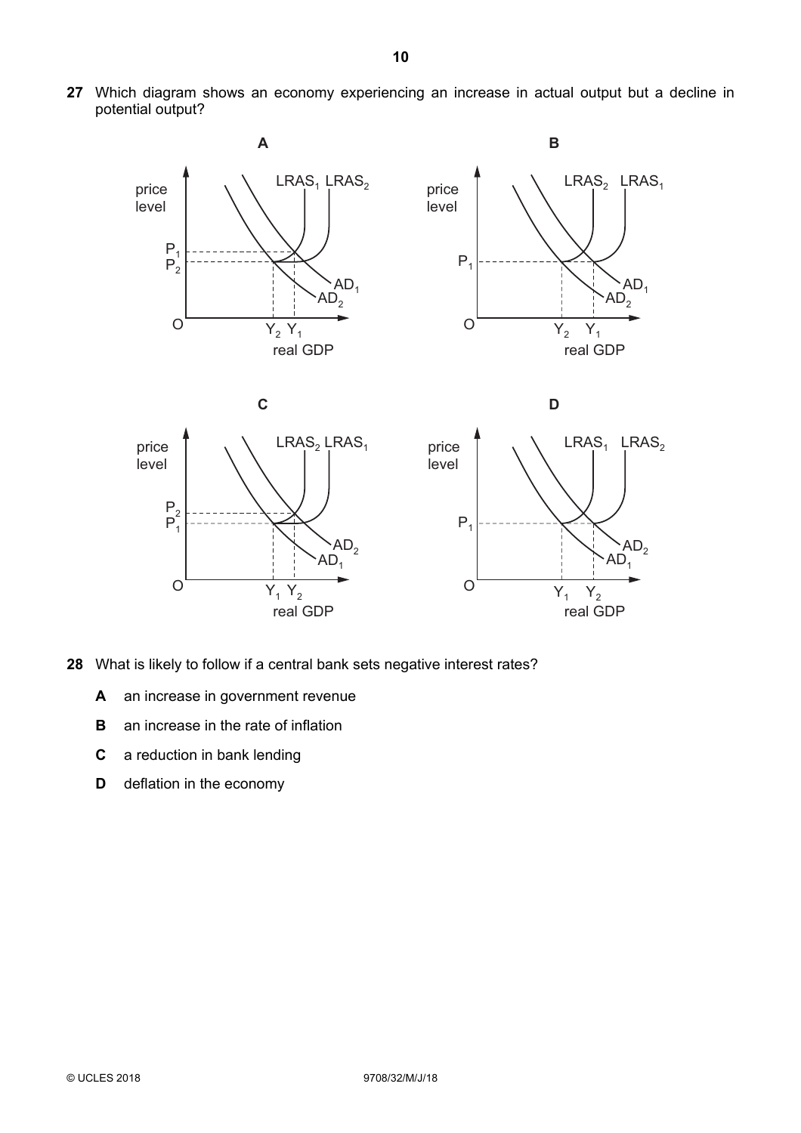**27** Which diagram shows an economy experiencing an increase in actual output but a decline in potential output?



- **28** What is likely to follow if a central bank sets negative interest rates?
	- **A** an increase in government revenue
	- **B** an increase in the rate of inflation
	- **C** a reduction in bank lending
	- **D** deflation in the economy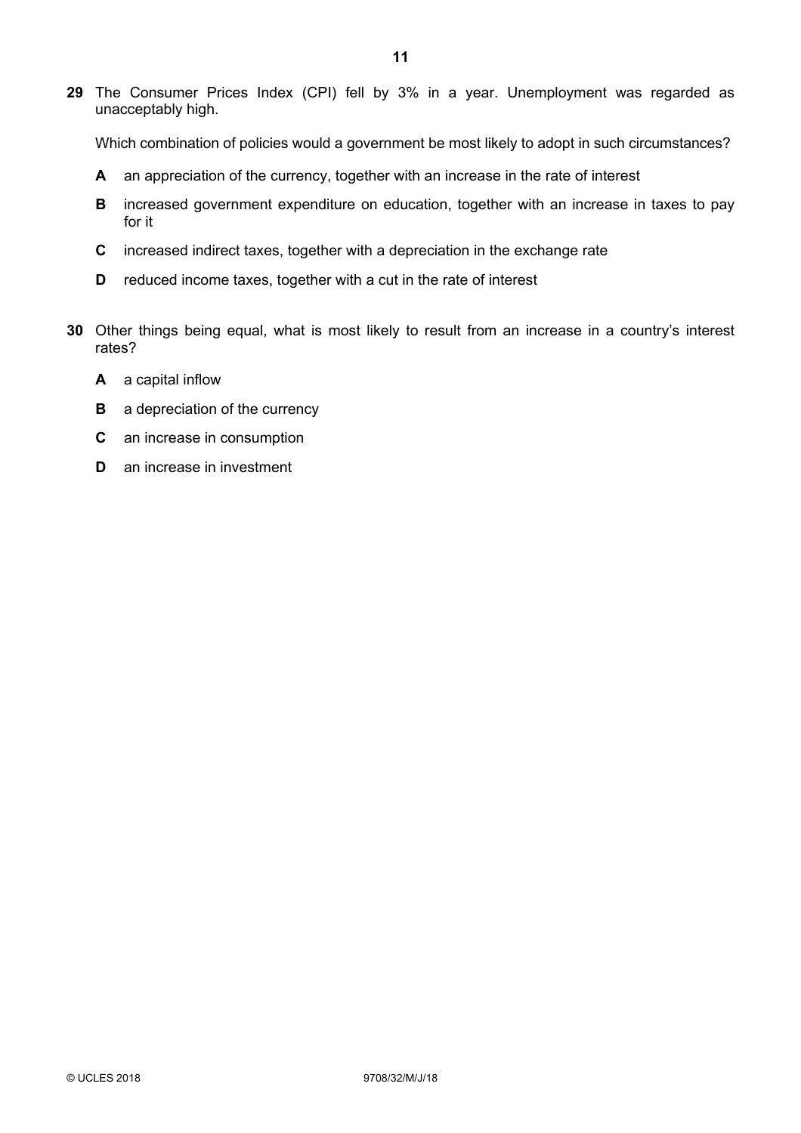**29** The Consumer Prices Index (CPI) fell by 3% in a year. Unemployment was regarded as unacceptably high.

Which combination of policies would a government be most likely to adopt in such circumstances?

- **A** an appreciation of the currency, together with an increase in the rate of interest
- **B** increased government expenditure on education, together with an increase in taxes to pay for it
- **C** increased indirect taxes, together with a depreciation in the exchange rate
- **D** reduced income taxes, together with a cut in the rate of interest
- **30** Other things being equal, what is most likely to result from an increase in a country's interest rates?
	- **A** a capital inflow
	- **B** a depreciation of the currency
	- **C** an increase in consumption
	- **D** an increase in investment